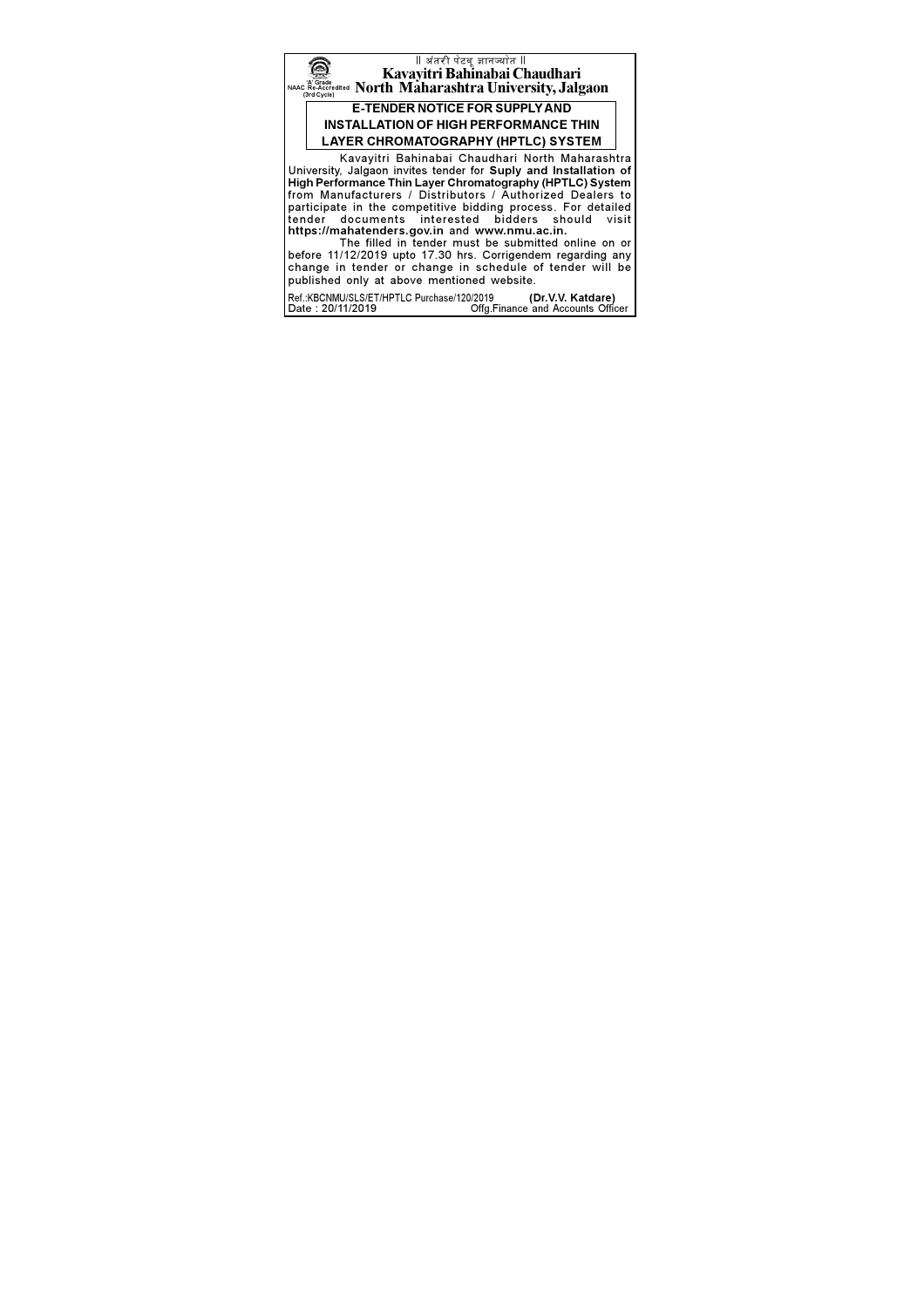

Date: 20/11/2019 Offg.Finance and Accounts Officer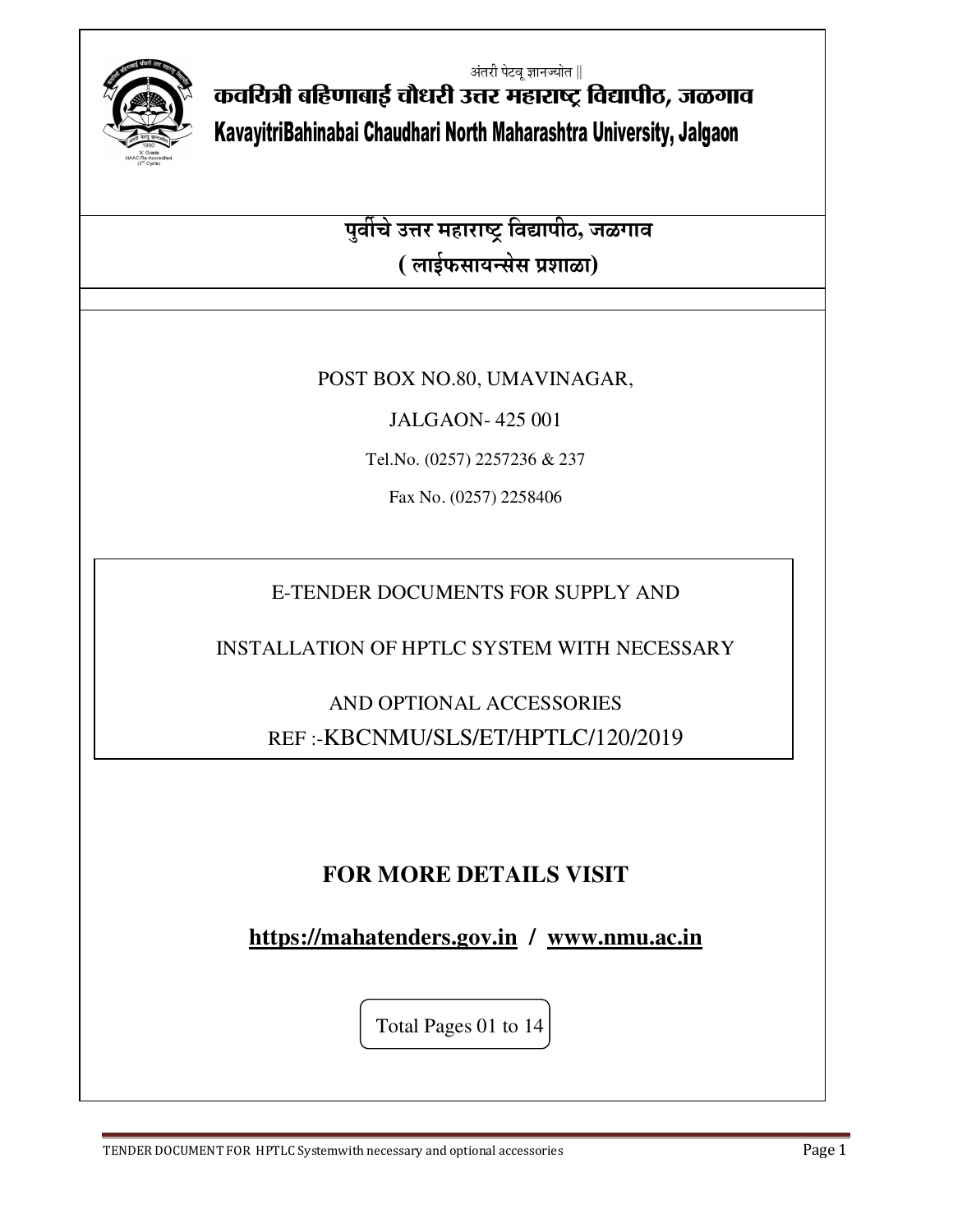अंतरी पेटवू ज्ञानज्योत ∥



कवयित्री बहिणाबाई चौधरी उत्तर महाराष्ट्र विद्यापीठ, जळगाव KavayitriBahinabai Chaudhari North Maharashtra University, Jalgaon

> <del>.<br>पुर्वीचे उत्तर महाराष्ट्र विद्यापीठ, जळगाव</del> **( लाईफसायन्सेस प्रशाळा)**

## POST BOX NO.80, UMAVINAGAR,

JALGAON- 425 001

Tel.No. (0257) 2257236 & 237

Fax No. (0257) 2258406

E-TENDER DOCUMENTS FOR SUPPLY AND

INSTALLATION OF HPTLC SYSTEM WITH NECESSARY

AND OPTIONAL ACCESSORIES REF :-KBCNMU/SLS/ET/HPTLC/120/2019

## **FOR MORE DETAILS VISIT**

**https://mahatenders.gov.in / www.nmu.ac.in**

Total Pages 01 to 14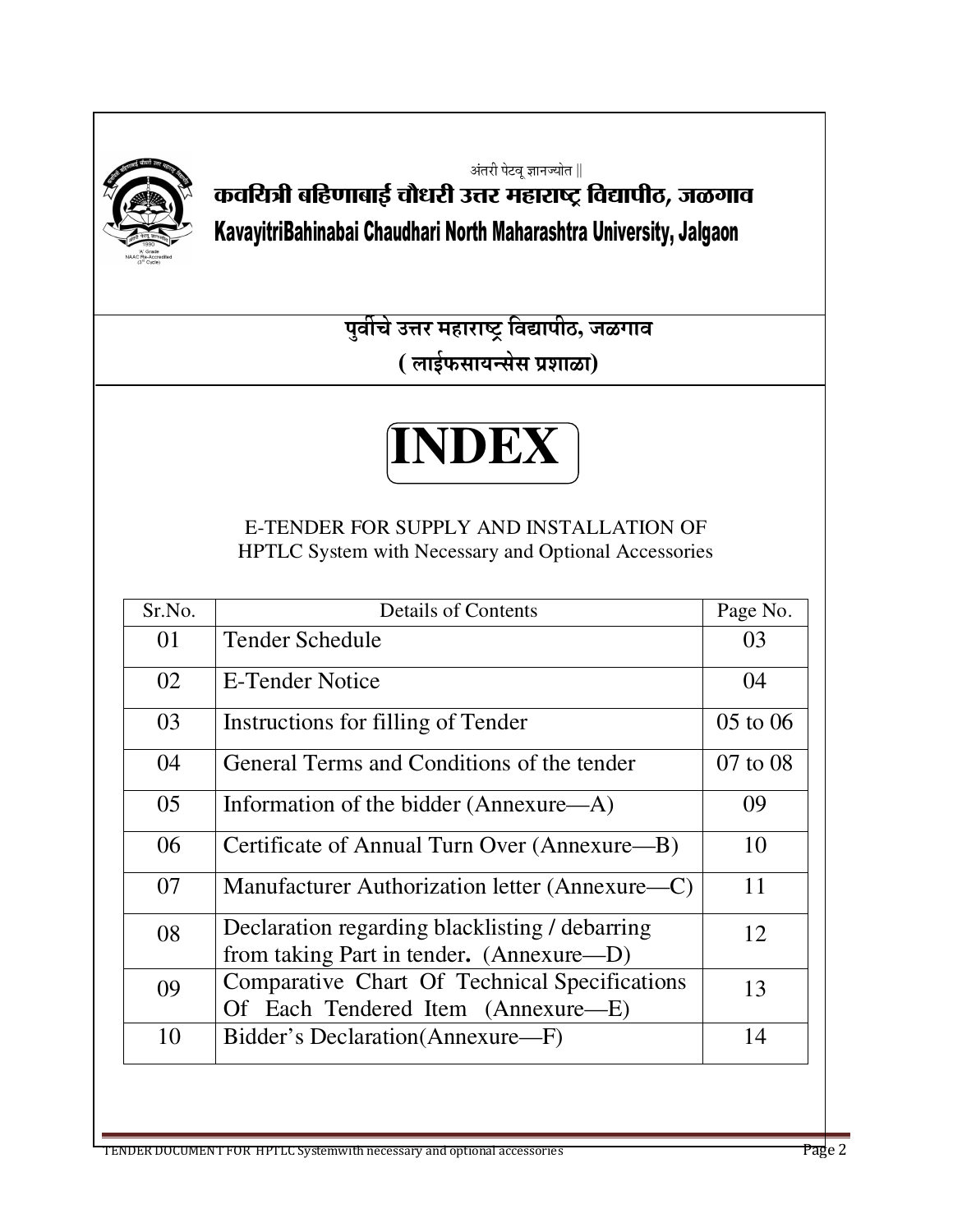

अंतरी पेटवू ज्ञानज्योत ∥ कवयित्री बहिणाबाई चौधरी उत्तर महाराष्ट्र विद्यापीठ, जळगाव KavayitriBahinabai Chaudhari North Maharashtra University, Jalgaon

> <u>पुर्वीचे उत्तर महाराष्ट्र विद्यापीठ, जळगाव</u> **( लाईफसायन्सेस प्रशाळा)**

# **INDEX**

E-TENDER FOR SUPPLY AND INSTALLATION OF HPTLC System with Necessary and Optional Accessories

| Sr.No. | <b>Details of Contents</b>                                                                 | Page No.     |
|--------|--------------------------------------------------------------------------------------------|--------------|
| 01     | Tender Schedule                                                                            | 03           |
| 02     | E-Tender Notice                                                                            | 04           |
| 03     | Instructions for filling of Tender                                                         | $05$ to $06$ |
| 04     | General Terms and Conditions of the tender                                                 | $07$ to $08$ |
| 05     | Information of the bidder (Annexure—A)                                                     | 09           |
| 06     | Certificate of Annual Turn Over (Annexure—B)                                               | 10           |
| 07     | Manufacturer Authorization letter (Annexure—C)                                             | 11           |
| 08     | Declaration regarding blacklisting / debarring<br>from taking Part in tender. (Annexure—D) | 12           |
| 09     | Comparative Chart Of Technical Specifications<br>Of Each Tendered Item (Annexure—E)        | 13           |
| 10     | Bidder's Declaration (Annexure-F)                                                          | 14           |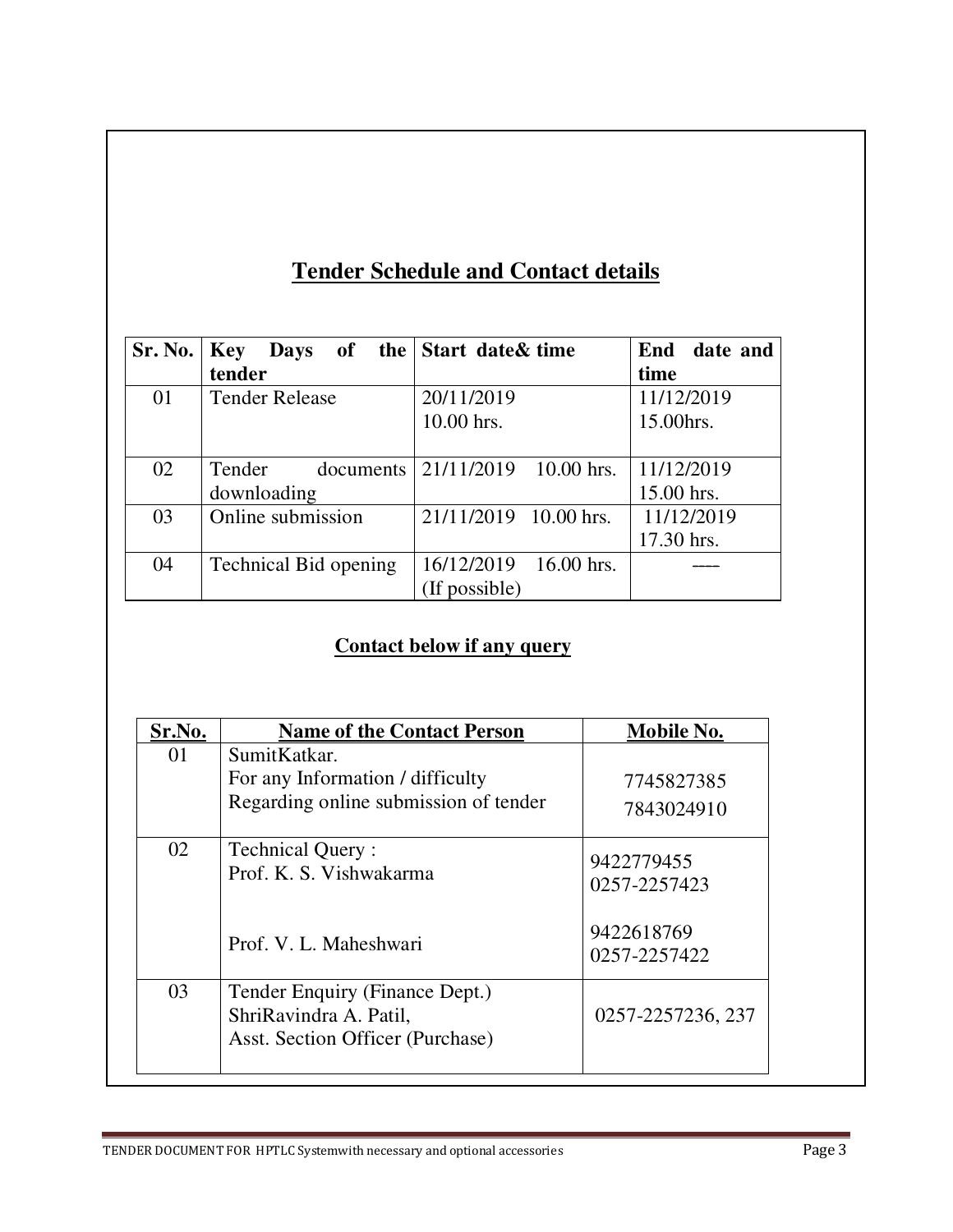# **Tender Schedule and Contact details**

| Sr. No. | <b>Key</b>            | <b>Days</b> of the Start date & time | End date and |
|---------|-----------------------|--------------------------------------|--------------|
|         | tender                |                                      | time         |
| 01      | <b>Tender Release</b> | 20/11/2019                           | 11/12/2019   |
|         |                       | 10.00 hrs.                           | 15.00hrs.    |
|         |                       |                                      |              |
| 02      | Tender<br>documents   | 10.00 hrs.<br>21/11/2019             | 11/12/2019   |
|         | downloading           |                                      | 15.00 hrs.   |
| 03      | Online submission     | 21/11/2019 10.00 hrs.                | 11/12/2019   |
|         |                       |                                      | 17.30 hrs.   |
| 04      | Technical Bid opening | 16/12/2019<br>16.00 hrs.             |              |
|         |                       | (If possible)                        |              |

## **Contact below if any query**

| Sr.No. | <b>Name of the Contact Person</b>                                                            | Mobile No.                 |
|--------|----------------------------------------------------------------------------------------------|----------------------------|
| 01     | SumitKatkar.<br>For any Information / difficulty<br>Regarding online submission of tender    | 7745827385<br>7843024910   |
| 02     | <b>Technical Query:</b><br>Prof. K. S. Vishwakarma                                           | 9422779455<br>0257-2257423 |
|        | Prof. V. L. Maheshwari                                                                       | 9422618769<br>0257-2257422 |
| 03     | Tender Enquiry (Finance Dept.)<br>ShriRavindra A. Patil,<br>Asst. Section Officer (Purchase) | 0257-2257236, 237          |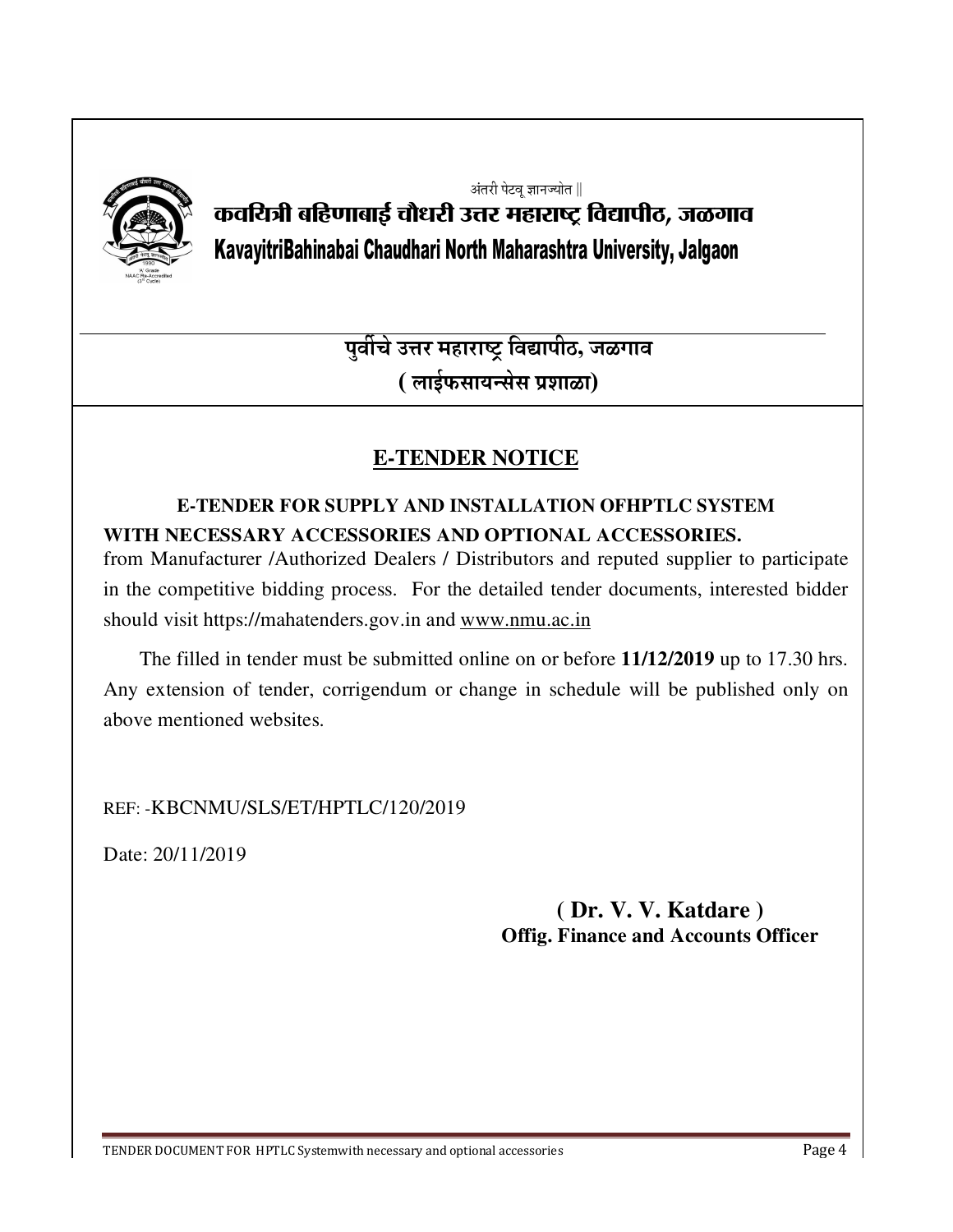

अंतरी पेटवू ज्ञानज्योत ∥

# कवयित्री बहिणाबाई चौधरी उत्तर महाराष्ट्र विद्यापीठ, जळगाव KavayitriBahinabai Chaudhari North Maharashtra University, Jalgaon

<u>पुर्वीचे उत्तर महाराष्ट्र विद्यापीठ, जळगाव</u> **( लाईफसायन्सेस प्रशाळा)** 

# **E-TENDER NOTICE**

## **E-TENDER FOR SUPPLY AND INSTALLATION OFHPTLC SYSTEM WITH NECESSARY ACCESSORIES AND OPTIONAL ACCESSORIES.** from Manufacturer /Authorized Dealers / Distributors and reputed supplier to participate in the competitive bidding process. For the detailed tender documents, interested bidder should visit https://mahatenders.gov.in and www.nmu.ac.in

 The filled in tender must be submitted online on or before **11/12/2019** up to 17.30 hrs. Any extension of tender, corrigendum or change in schedule will be published only on above mentioned websites.

REF: -KBCNMU/SLS/ET/HPTLC/120/2019

Date: 20/11/2019

## **( Dr. V. V. Katdare ) Offig. Finance and Accounts Officer**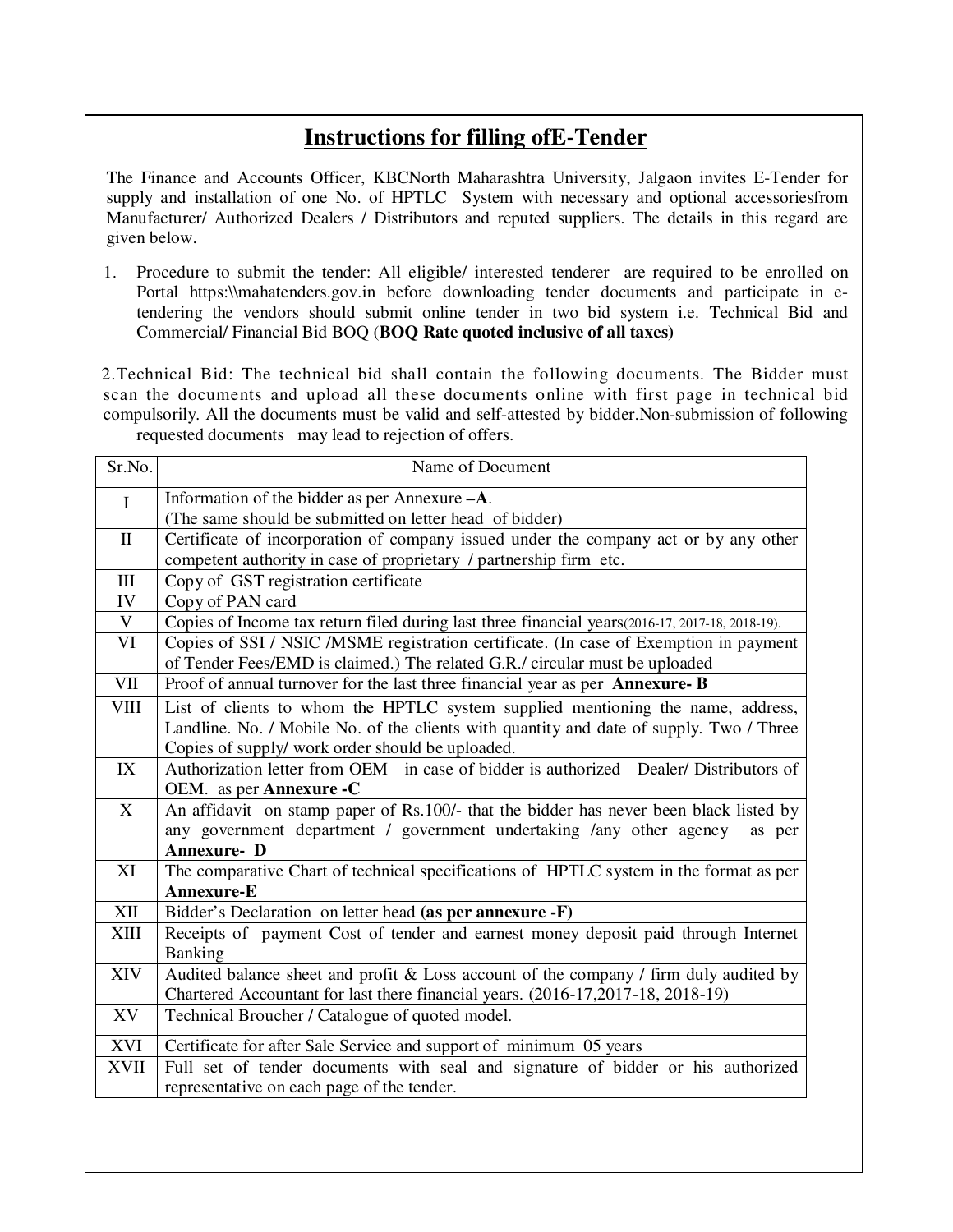## **Instructions for filling ofE-Tender**

The Finance and Accounts Officer, KBCNorth Maharashtra University, Jalgaon invites E-Tender for supply and installation of one No. of HPTLC System with necessary and optional accessoriesfrom Manufacturer/ Authorized Dealers / Distributors and reputed suppliers. The details in this regard are given below.

1. Procedure to submit the tender: All eligible/ interested tenderer are required to be enrolled on Portal https:\\mahatenders.gov.in before downloading tender documents and participate in etendering the vendors should submit online tender in two bid system i.e. Technical Bid and Commercial/ Financial Bid BOQ (**BOQ Rate quoted inclusive of all taxes)** 

 2.Technical Bid: The technical bid shall contain the following documents. The Bidder must scan the documents and upload all these documents online with first page in technical bid compulsorily. All the documents must be valid and self-attested by bidder.Non-submission of following requested documents may lead to rejection of offers.

| Sr.No.       | Name of Document                                                                                |  |  |
|--------------|-------------------------------------------------------------------------------------------------|--|--|
| $\mathbf I$  | Information of the bidder as per Annexure -A.                                                   |  |  |
|              | (The same should be submitted on letter head of bidder)                                         |  |  |
| $\mathbf{I}$ | Certificate of incorporation of company issued under the company act or by any other            |  |  |
|              | competent authority in case of proprietary / partnership firm etc.                              |  |  |
| III          | Copy of GST registration certificate                                                            |  |  |
| IV           | Copy of PAN card                                                                                |  |  |
| $\mathbf V$  | Copies of Income tax return filed during last three financial years(2016-17, 2017-18, 2018-19). |  |  |
| VI           | Copies of SSI / NSIC / MSME registration certificate. (In case of Exemption in payment          |  |  |
|              | of Tender Fees/EMD is claimed.) The related G.R./ circular must be uploaded                     |  |  |
| <b>VII</b>   | Proof of annual turnover for the last three financial year as per Annexure-B                    |  |  |
| <b>VIII</b>  | List of clients to whom the HPTLC system supplied mentioning the name, address,                 |  |  |
|              | Landline. No. / Mobile No. of the clients with quantity and date of supply. Two / Three         |  |  |
|              | Copies of supply/ work order should be uploaded.                                                |  |  |
| IX           | Authorization letter from OEM in case of bidder is authorized Dealer/Distributors of            |  |  |
|              | OEM. as per <b>Annexure -C</b>                                                                  |  |  |
| X            | An affidavit on stamp paper of Rs.100/- that the bidder has never been black listed by          |  |  |
|              | any government department / government undertaking /any other agency<br>as per                  |  |  |
|              | <b>Annexure-D</b>                                                                               |  |  |
| XI           | The comparative Chart of technical specifications of HPTLC system in the format as per          |  |  |
|              | Annexure-E                                                                                      |  |  |
| <b>XII</b>   | Bidder's Declaration on letter head (as per annexure -F)                                        |  |  |
| <b>XIII</b>  | Receipts of payment Cost of tender and earnest money deposit paid through Internet              |  |  |
|              | Banking                                                                                         |  |  |
| <b>XIV</b>   | Audited balance sheet and profit & Loss account of the company $\ell$ firm duly audited by      |  |  |
|              | Chartered Accountant for last there financial years. (2016-17,2017-18, 2018-19)                 |  |  |
| XV           | Technical Broucher / Catalogue of quoted model.                                                 |  |  |
| XVI          | Certificate for after Sale Service and support of minimum 05 years                              |  |  |
| <b>XVII</b>  | Full set of tender documents with seal and signature of bidder or his authorized                |  |  |
|              | representative on each page of the tender.                                                      |  |  |
|              |                                                                                                 |  |  |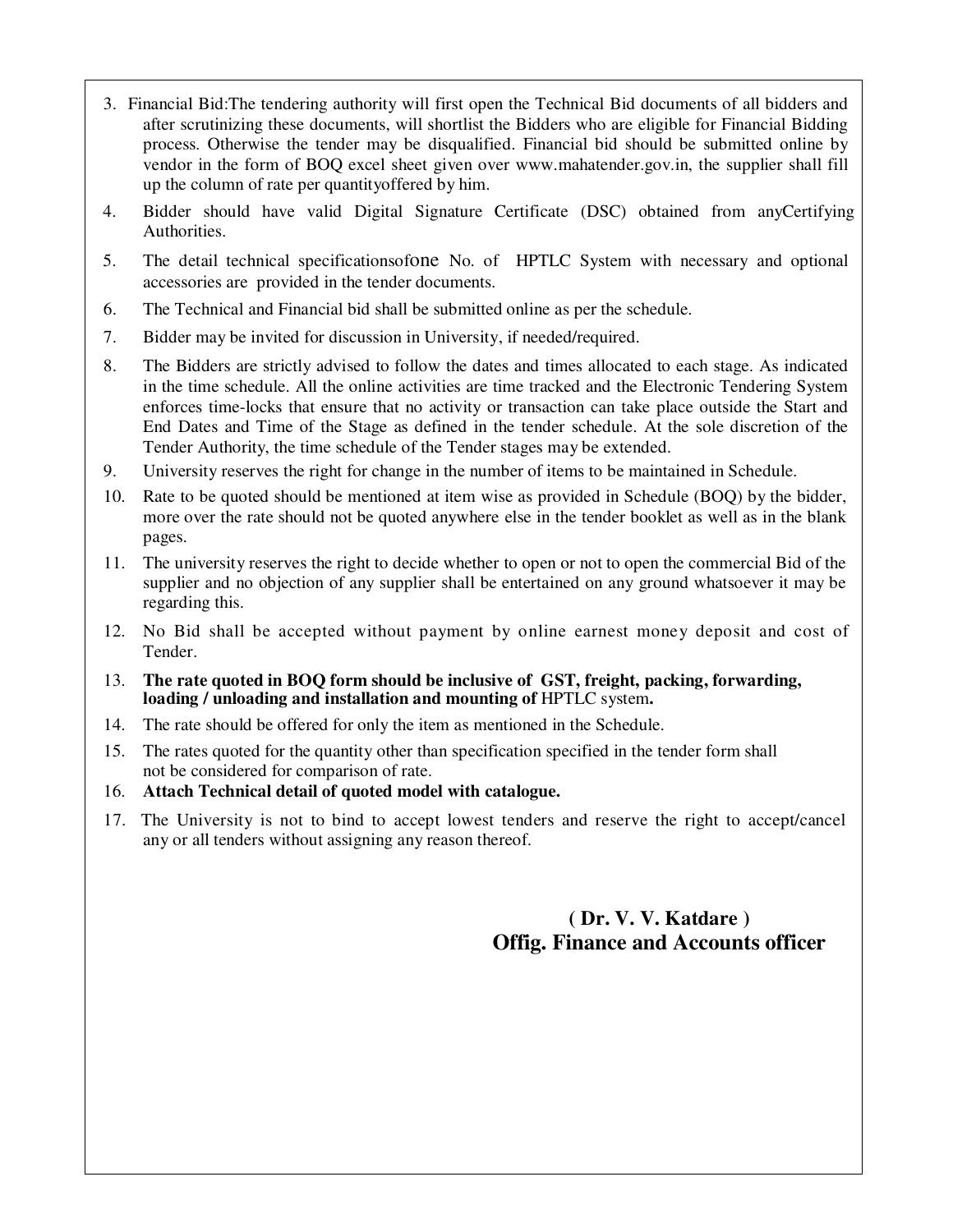- 3. Financial Bid:The tendering authority will first open the Technical Bid documents of all bidders and after scrutinizing these documents, will shortlist the Bidders who are eligible for Financial Bidding process. Otherwise the tender may be disqualified. Financial bid should be submitted online by vendor in the form of BOQ excel sheet given over www.mahatender.gov.in, the supplier shall fill up the column of rate per quantityoffered by him.
- 4. Bidder should have valid Digital Signature Certificate (DSC) obtained from anyCertifying Authorities.
- 5. The detail technical specificationsofone No. of HPTLC System with necessary and optional accessories are provided in the tender documents.
- 6. The Technical and Financial bid shall be submitted online as per the schedule.
- 7. Bidder may be invited for discussion in University, if needed/required.
- 8. The Bidders are strictly advised to follow the dates and times allocated to each stage. As indicated in the time schedule. All the online activities are time tracked and the Electronic Tendering System enforces time-locks that ensure that no activity or transaction can take place outside the Start and End Dates and Time of the Stage as defined in the tender schedule. At the sole discretion of the Tender Authority, the time schedule of the Tender stages may be extended.
- 9. University reserves the right for change in the number of items to be maintained in Schedule.
- 10. Rate to be quoted should be mentioned at item wise as provided in Schedule (BOQ) by the bidder, more over the rate should not be quoted anywhere else in the tender booklet as well as in the blank pages.
- 11. The university reserves the right to decide whether to open or not to open the commercial Bid of the supplier and no objection of any supplier shall be entertained on any ground whatsoever it may be regarding this.
- 12. No Bid shall be accepted without payment by online earnest money deposit and cost of Tender.
- 13. **The rate quoted in BOQ form should be inclusive of GST, freight, packing, forwarding, loading / unloading and installation and mounting of** HPTLC system**.**
- 14. The rate should be offered for only the item as mentioned in the Schedule.
- 15. The rates quoted for the quantity other than specification specified in the tender form shall not be considered for comparison of rate.
- 16. **Attach Technical detail of quoted model with catalogue.**
- 17. The University is not to bind to accept lowest tenders and reserve the right to accept/cancel any or all tenders without assigning any reason thereof.

## **( Dr. V. V. Katdare ) Offig. Finance and Accounts officer**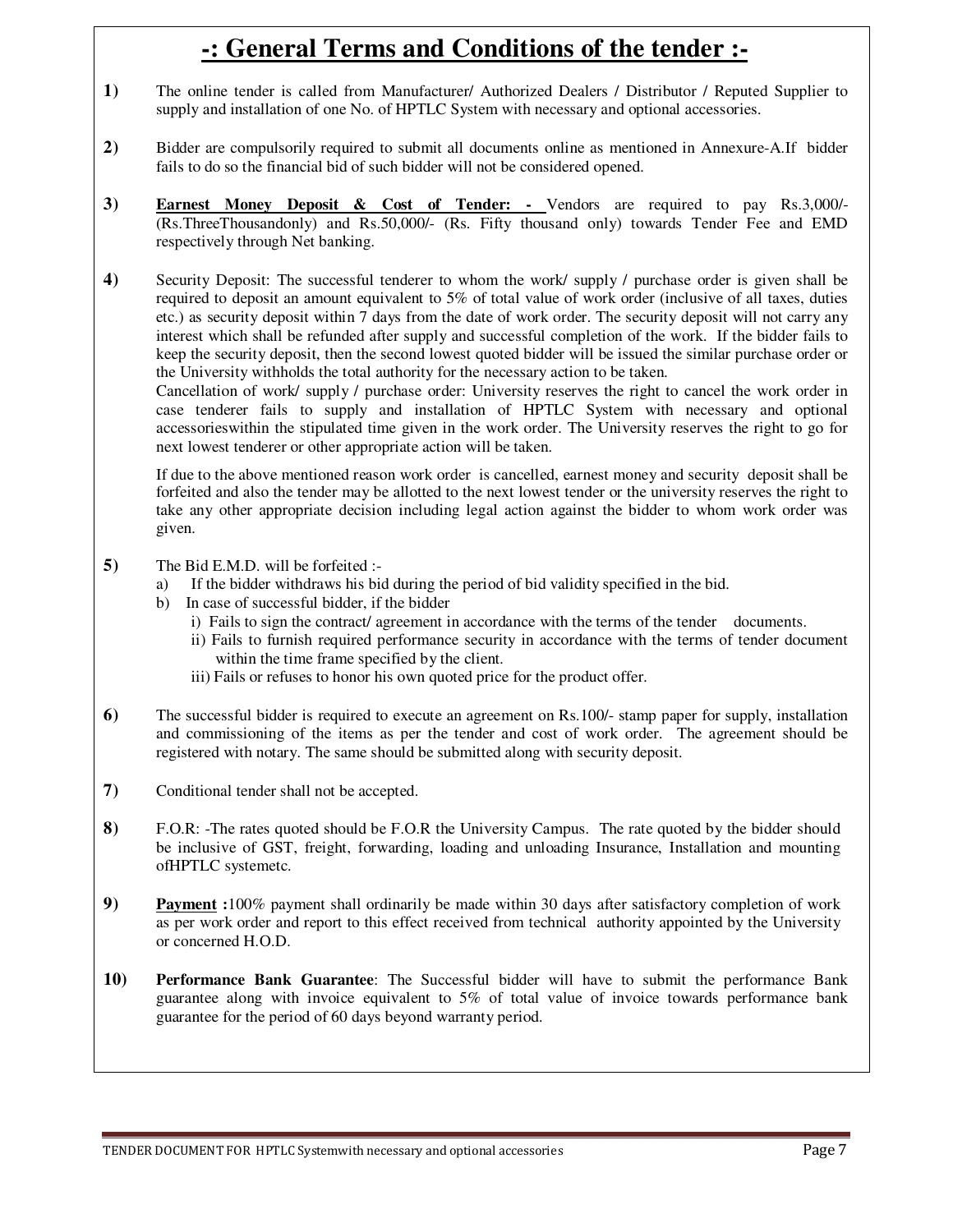# **-: General Terms and Conditions of the tender :-**

- **1)** The online tender is called from Manufacturer/ Authorized Dealers / Distributor / Reputed Supplier to supply and installation of one No. of HPTLC System with necessary and optional accessories.
- **2)** Bidder are compulsorily required to submit all documents online as mentioned in Annexure-A.If bidder fails to do so the financial bid of such bidder will not be considered opened.
- **3) Earnest Money Deposit & Cost of Tender:** Vendors are required to pay Rs.3,000/- (Rs.ThreeThousandonly) and Rs.50,000/- (Rs. Fifty thousand only) towards Tender Fee and EMD respectively through Net banking.

**4)** Security Deposit: The successful tenderer to whom the work/ supply / purchase order is given shall be required to deposit an amount equivalent to 5% of total value of work order (inclusive of all taxes, duties etc.) as security deposit within 7 days from the date of work order. The security deposit will not carry any interest which shall be refunded after supply and successful completion of the work. If the bidder fails to keep the security deposit, then the second lowest quoted bidder will be issued the similar purchase order or the University withholds the total authority for the necessary action to be taken.

Cancellation of work/ supply / purchase order: University reserves the right to cancel the work order in case tenderer fails to supply and installation of HPTLC System with necessary and optional accessorieswithin the stipulated time given in the work order. The University reserves the right to go for next lowest tenderer or other appropriate action will be taken.

If due to the above mentioned reason work order is cancelled, earnest money and security deposit shall be forfeited and also the tender may be allotted to the next lowest tender or the university reserves the right to take any other appropriate decision including legal action against the bidder to whom work order was given.

- **5)** The Bid E.M.D. will be forfeited :
	- a) If the bidder withdraws his bid during the period of bid validity specified in the bid.
	- b) In case of successful bidder, if the bidder
		- i) Fails to sign the contract/ agreement in accordance with the terms of the tender documents.
		- ii) Fails to furnish required performance security in accordance with the terms of tender document within the time frame specified by the client.
		- iii) Fails or refuses to honor his own quoted price for the product offer.
- **6)** The successful bidder is required to execute an agreement on Rs.100/- stamp paper for supply, installation and commissioning of the items as per the tender and cost of work order. The agreement should be registered with notary. The same should be submitted along with security deposit.
- **7)** Conditional tender shall not be accepted.
- **8)** F.O.R: -The rates quoted should be F.O.R the University Campus. The rate quoted by the bidder should be inclusive of GST, freight, forwarding, loading and unloading Insurance, Installation and mounting ofHPTLC systemetc.
- **9) Payment :**100% payment shall ordinarily be made within 30 days after satisfactory completion of work as per work order and report to this effect received from technical authority appointed by the University or concerned H.O.D.
- **10) Performance Bank Guarantee**: The Successful bidder will have to submit the performance Bank guarantee along with invoice equivalent to 5% of total value of invoice towards performance bank guarantee for the period of 60 days beyond warranty period.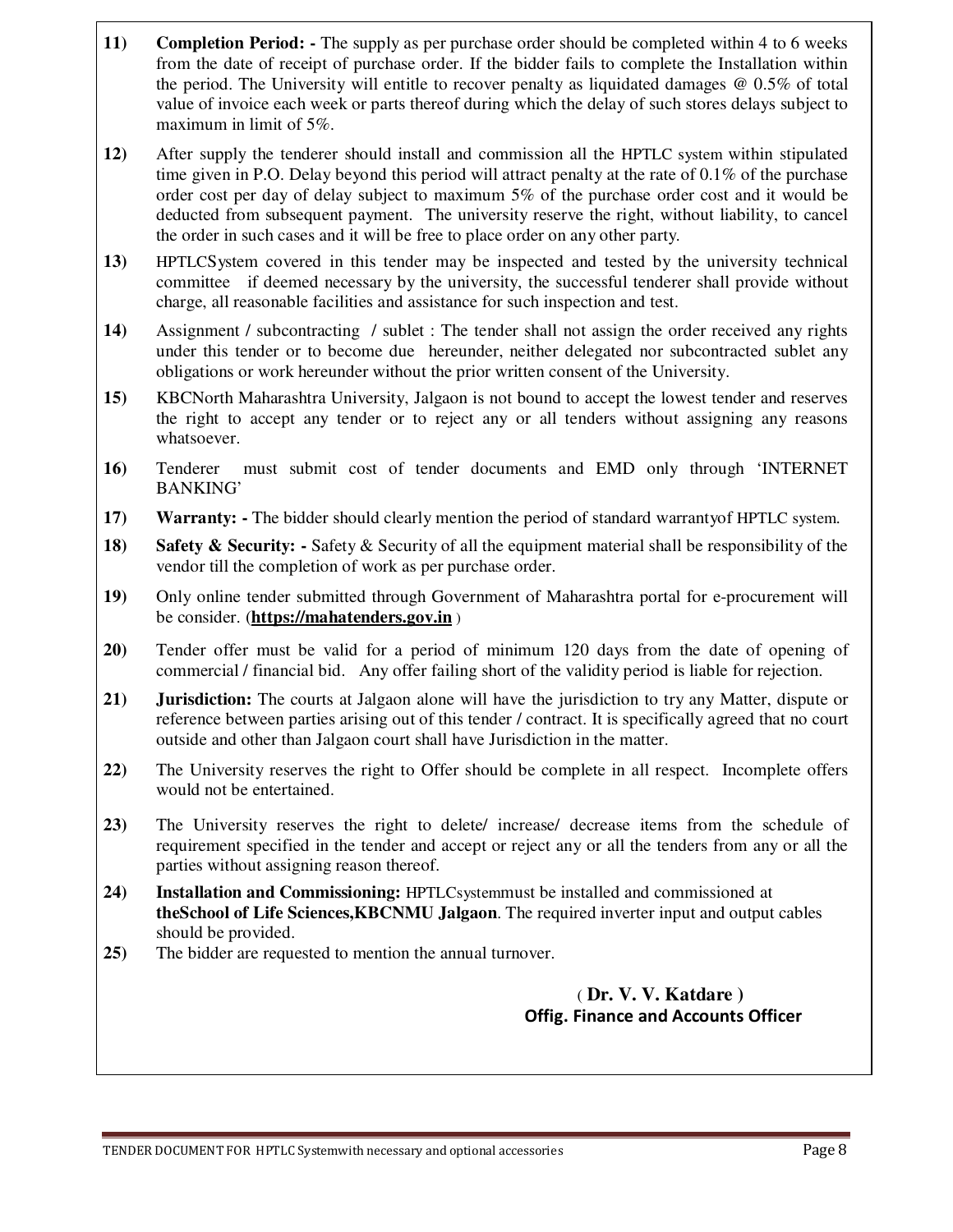- **11) Completion Period:** The supply as per purchase order should be completed within 4 to 6 weeks from the date of receipt of purchase order. If the bidder fails to complete the Installation within the period. The University will entitle to recover penalty as liquidated damages @ 0.5% of total value of invoice each week or parts thereof during which the delay of such stores delays subject to maximum in limit of 5%.
- **12)** After supply the tenderer should install and commission all the HPTLC system within stipulated time given in P.O. Delay beyond this period will attract penalty at the rate of 0.1% of the purchase order cost per day of delay subject to maximum 5% of the purchase order cost and it would be deducted from subsequent payment. The university reserve the right, without liability, to cancel the order in such cases and it will be free to place order on any other party.
- **13)** HPTLCSystem covered in this tender may be inspected and tested by the university technical committee if deemed necessary by the university, the successful tenderer shall provide without charge, all reasonable facilities and assistance for such inspection and test.
- **14)** Assignment / subcontracting / sublet : The tender shall not assign the order received any rights under this tender or to become due hereunder, neither delegated nor subcontracted sublet any obligations or work hereunder without the prior written consent of the University.
- **15)** KBCNorth Maharashtra University, Jalgaon is not bound to accept the lowest tender and reserves the right to accept any tender or to reject any or all tenders without assigning any reasons whatsoever.
- **16)** Tenderer must submit cost of tender documents and EMD only through 'INTERNET BANKING'
- **17) Warranty: -** The bidder should clearly mention the period of standard warrantyof HPTLC system.
- **18) Safety & Security: -** Safety & Security of all the equipment material shall be responsibility of the vendor till the completion of work as per purchase order.
- **19)** Only online tender submitted through Government of Maharashtra portal for e-procurement will be consider. (**https://mahatenders.gov.in** )
- **20)** Tender offer must be valid for a period of minimum 120 days from the date of opening of commercial / financial bid. Any offer failing short of the validity period is liable for rejection.
- **21) Jurisdiction:** The courts at Jalgaon alone will have the jurisdiction to try any Matter, dispute or reference between parties arising out of this tender / contract. It is specifically agreed that no court outside and other than Jalgaon court shall have Jurisdiction in the matter.
- **22)** The University reserves the right to Offer should be complete in all respect. Incomplete offers would not be entertained.
- **23)** The University reserves the right to delete/ increase/ decrease items from the schedule of requirement specified in the tender and accept or reject any or all the tenders from any or all the parties without assigning reason thereof.
- **24) Installation and Commissioning:** HPTLCsystemmust be installed and commissioned at **theSchool of Life Sciences,KBCNMU Jalgaon**. The required inverter input and output cables should be provided.
- **25)** The bidder are requested to mention the annual turnover.

#### ( **Dr. V. V. Katdare ) Offig. Finance and Accounts Officer**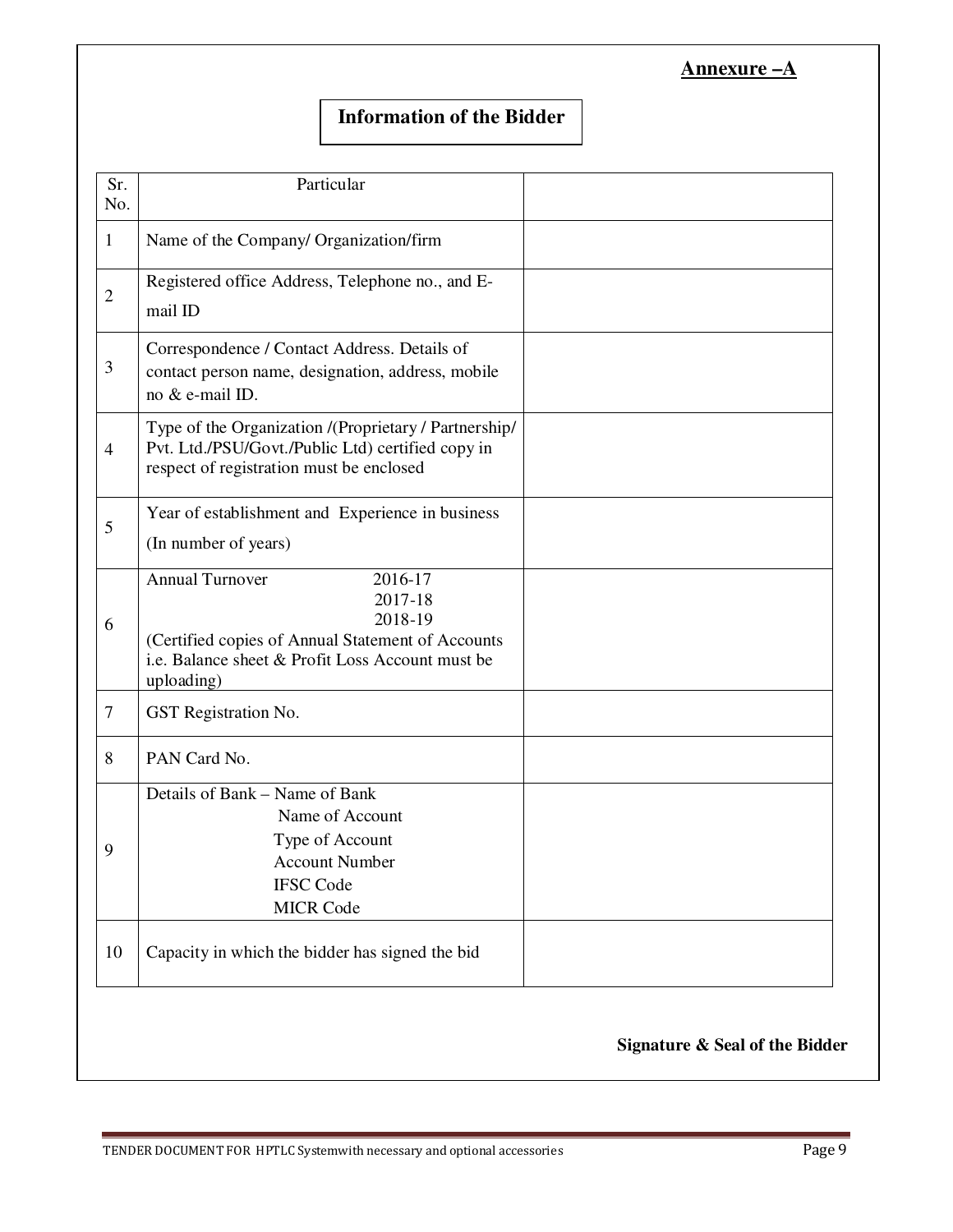| Annexure |  |
|----------|--|
|          |  |

## **Information of the Bidder**

| Sr.<br>No.     | Particular                                                                                                                                                                     |  |
|----------------|--------------------------------------------------------------------------------------------------------------------------------------------------------------------------------|--|
| $\mathbf{1}$   | Name of the Company/ Organization/firm                                                                                                                                         |  |
| $\overline{2}$ | Registered office Address, Telephone no., and E-<br>mail ID                                                                                                                    |  |
| 3              | Correspondence / Contact Address. Details of<br>contact person name, designation, address, mobile<br>no & e-mail ID.                                                           |  |
| $\overline{4}$ | Type of the Organization /(Proprietary / Partnership/<br>Pvt. Ltd./PSU/Govt./Public Ltd) certified copy in<br>respect of registration must be enclosed                         |  |
| 5              | Year of establishment and Experience in business<br>(In number of years)                                                                                                       |  |
| 6              | <b>Annual Turnover</b><br>2016-17<br>2017-18<br>2018-19<br>(Certified copies of Annual Statement of Accounts<br>i.e. Balance sheet & Profit Loss Account must be<br>uploading) |  |
| $\tau$         | GST Registration No.                                                                                                                                                           |  |
| 8              | PAN Card No.                                                                                                                                                                   |  |
| 9              | Details of Bank – Name of Bank<br>Name of Account<br>Type of Account<br><b>Account Number</b><br><b>IFSC Code</b><br><b>MICR Code</b>                                          |  |
| 10             | Capacity in which the bidder has signed the bid                                                                                                                                |  |
|                |                                                                                                                                                                                |  |

**Signature & Seal of the Bidder**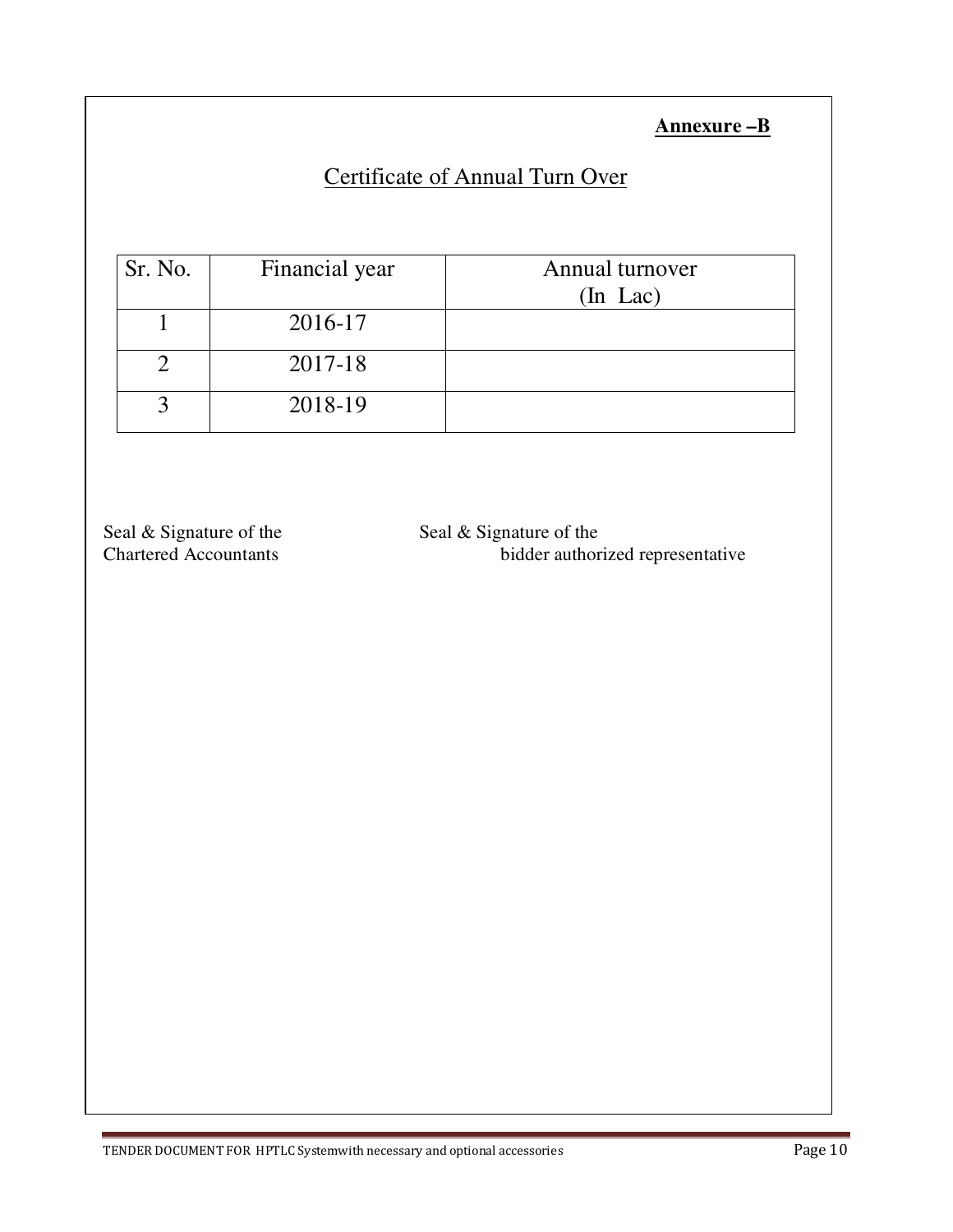## **Annexure –B**

## Certificate of Annual Turn Over

| Sr. No. | Financial year | Annual turnover<br>$(In$ Lac $)$ |
|---------|----------------|----------------------------------|
|         | 2016-17        |                                  |
|         | 2017-18        |                                  |
|         | 2018-19        |                                  |

Seal & Signature of the Seal & Signature of the Seal & Signature of the Chartered Accountants

bidder authorized representative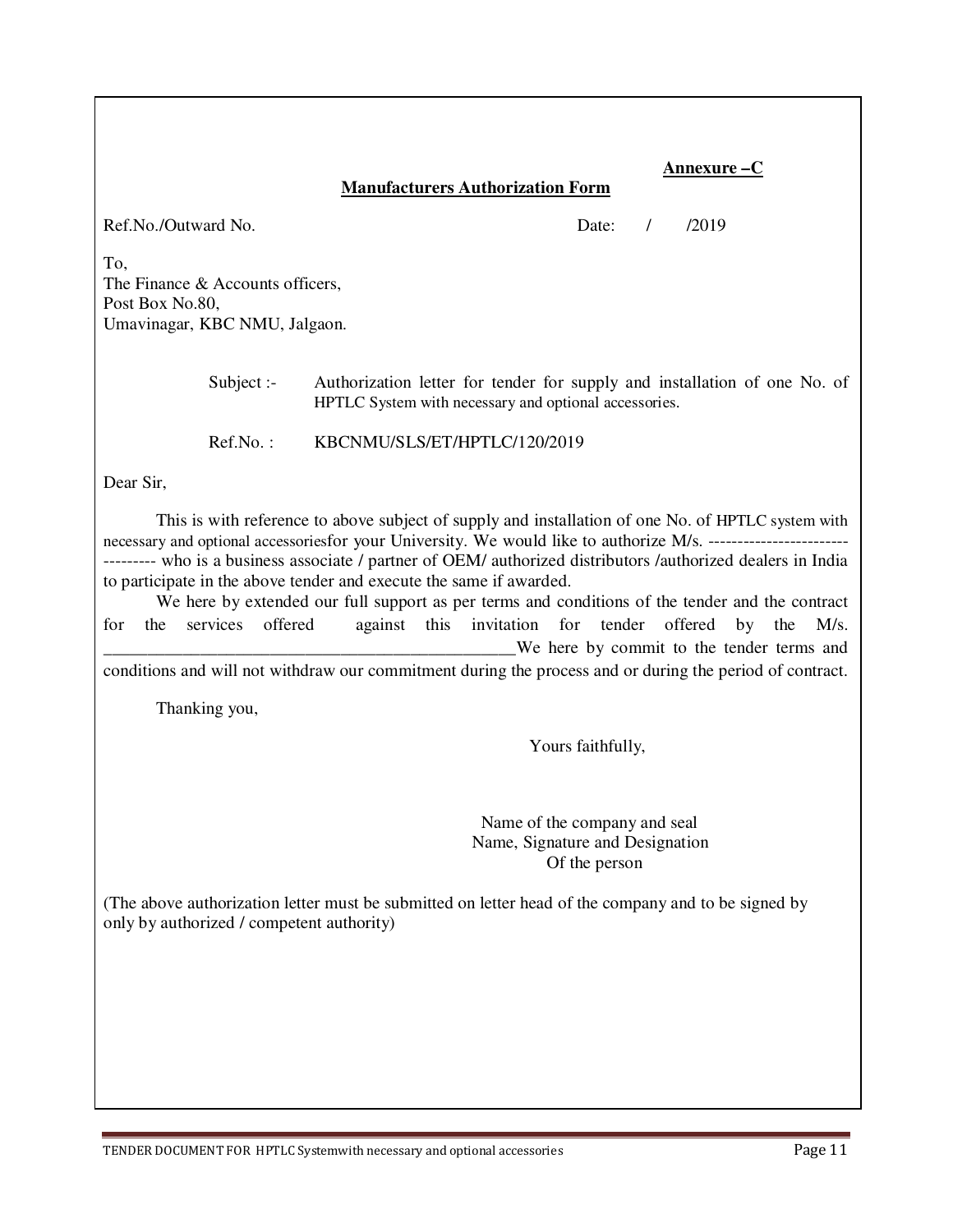#### **Annexure –C**

#### **Manufacturers Authorization Form**

Ref.No./Outward No. Date: / /2019

To, The Finance & Accounts officers, Post Box No.80, Umavinagar, KBC NMU, Jalgaon.

> Subject :- Authorization letter for tender for supply and installation of one No. of HPTLC System with necessary and optional accessories.

Ref.No. : KBCNMU/SLS/ET/HPTLC/120/2019

Dear Sir,

This is with reference to above subject of supply and installation of one No. of HPTLC system with necessary and optional accessoriesfor your University. We would like to authorize M/s. -------------------------------- who is a business associate / partner of OEM/ authorized distributors /authorized dealers in India to participate in the above tender and execute the same if awarded.

 We here by extended our full support as per terms and conditions of the tender and the contract for the services offered against this invitation for tender offered by the M/s. We here by commit to the tender terms and

conditions and will not withdraw our commitment during the process and or during the period of contract.

Thanking you,

Yours faithfully,

 Name of the company and seal Name, Signature and Designation Of the person

(The above authorization letter must be submitted on letter head of the company and to be signed by only by authorized / competent authority)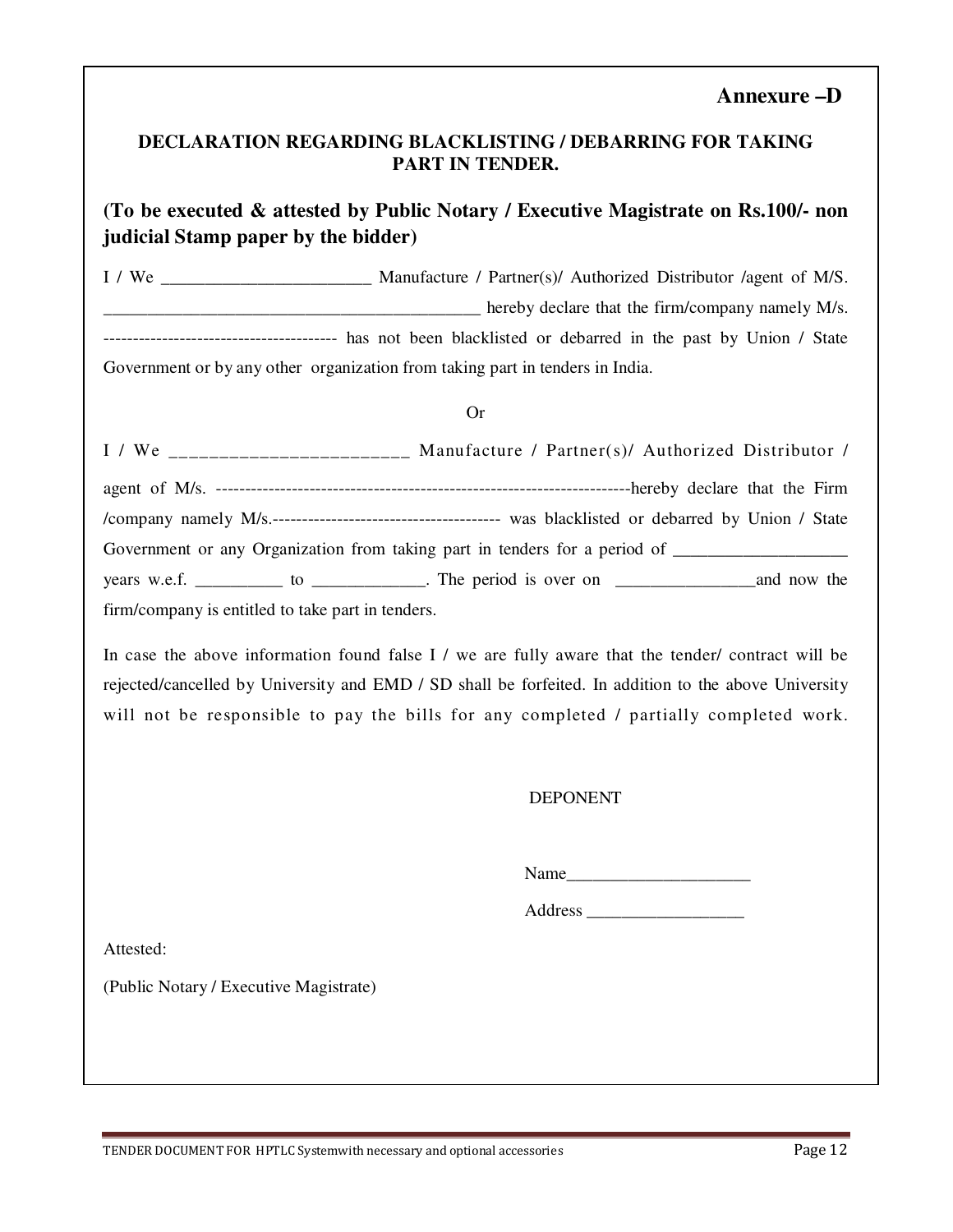#### **Annexure –D**

#### **DECLARATION REGARDING BLACKLISTING / DEBARRING FOR TAKING PART IN TENDER.**

## **(To be executed & attested by Public Notary / Executive Magistrate on Rs.100/- non judicial Stamp paper by the bidder)**

I / We \_\_\_\_\_\_\_\_\_\_\_\_\_\_\_\_\_\_\_\_\_\_\_\_ Manufacture / Partner(s)/ Authorized Distributor /agent of M/S. Letter that the firm/company namely M/s. ---------------------------------------- has not been blacklisted or debarred in the past by Union / State Government or by any other organization from taking part in tenders in India.

#### Or

|                                                   | I / We _______________________ Manufacture / Partner(s)/ Authorized Distributor /                    |
|---------------------------------------------------|------------------------------------------------------------------------------------------------------|
|                                                   |                                                                                                      |
|                                                   |                                                                                                      |
|                                                   | Government or any Organization from taking part in tenders for a period of _________________________ |
|                                                   |                                                                                                      |
| firm/company is entitled to take part in tenders. |                                                                                                      |

In case the above information found false I / we are fully aware that the tender/ contract will be rejected/cancelled by University and EMD / SD shall be forfeited. In addition to the above University will not be responsible to pay the bills for any completed / partially completed work.

#### DEPONENT

Name

Address \_\_\_\_\_\_\_\_\_\_\_\_\_\_\_\_\_\_

Attested:

(Public Notary / Executive Magistrate)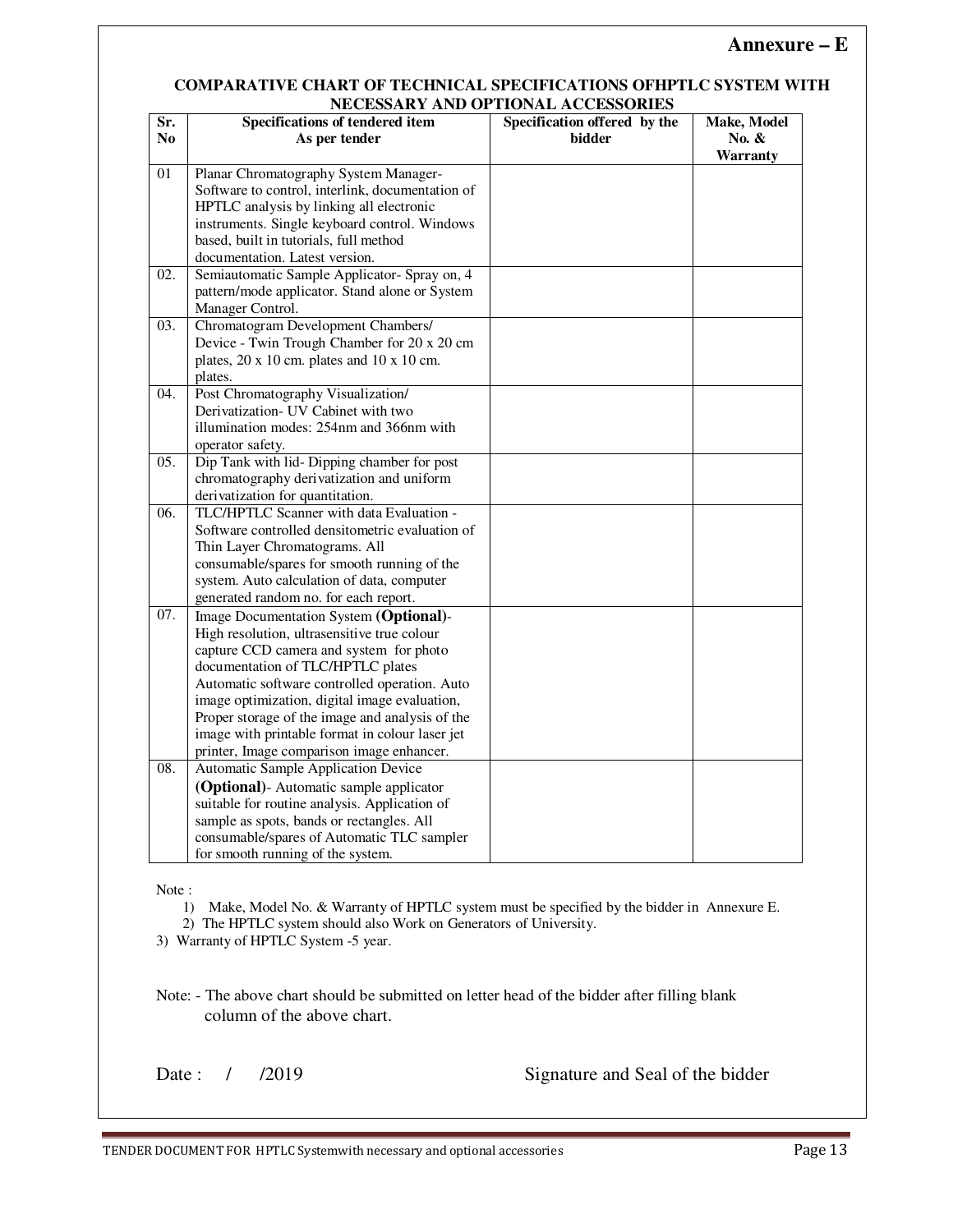#### **Annexure – E**

#### **COMPARATIVE CHART OF TECHNICAL SPECIFICATIONS OFHPTLC SYSTEM WITH NECESSARY AND OPTIONAL ACCESSORIES**

|     | NECESSART AND OF HONAL ACCESSORIES                       |                              |             |  |
|-----|----------------------------------------------------------|------------------------------|-------------|--|
| Sr. | Specifications of tendered item                          | Specification offered by the | Make, Model |  |
| No. | As per tender                                            | bidder                       | No. $\&$    |  |
|     |                                                          |                              | Warranty    |  |
| 01  | Planar Chromatography System Manager-                    |                              |             |  |
|     | Software to control, interlink, documentation of         |                              |             |  |
|     | HPTLC analysis by linking all electronic                 |                              |             |  |
|     | instruments. Single keyboard control. Windows            |                              |             |  |
|     | based, built in tutorials, full method                   |                              |             |  |
|     | documentation. Latest version.                           |                              |             |  |
| 02. | Semiautomatic Sample Applicator- Spray on, 4             |                              |             |  |
|     | pattern/mode applicator. Stand alone or System           |                              |             |  |
|     | Manager Control.                                         |                              |             |  |
| 03. | Chromatogram Development Chambers/                       |                              |             |  |
|     | Device - Twin Trough Chamber for 20 x 20 cm              |                              |             |  |
|     | plates, $20 \times 10$ cm. plates and $10 \times 10$ cm. |                              |             |  |
|     | plates.                                                  |                              |             |  |
| 04. | Post Chromatography Visualization/                       |                              |             |  |
|     | Derivatization- UV Cabinet with two                      |                              |             |  |
|     | illumination modes: 254nm and 366nm with                 |                              |             |  |
|     |                                                          |                              |             |  |
|     | operator safety.                                         |                              |             |  |
| 05. | Dip Tank with lid- Dipping chamber for post              |                              |             |  |
|     | chromatography derivatization and uniform                |                              |             |  |
|     | derivatization for quantitation.                         |                              |             |  |
| 06. | TLC/HPTLC Scanner with data Evaluation -                 |                              |             |  |
|     | Software controlled densitometric evaluation of          |                              |             |  |
|     | Thin Layer Chromatograms. All                            |                              |             |  |
|     | consumable/spares for smooth running of the              |                              |             |  |
|     | system. Auto calculation of data, computer               |                              |             |  |
|     | generated random no. for each report.                    |                              |             |  |
| 07. | Image Documentation System (Optional)-                   |                              |             |  |
|     | High resolution, ultrasensitive true colour              |                              |             |  |
|     | capture CCD camera and system for photo                  |                              |             |  |
|     | documentation of TLC/HPTLC plates                        |                              |             |  |
|     | Automatic software controlled operation. Auto            |                              |             |  |
|     | image optimization, digital image evaluation,            |                              |             |  |
|     | Proper storage of the image and analysis of the          |                              |             |  |
|     | image with printable format in colour laser jet          |                              |             |  |
|     | printer, Image comparison image enhancer.                |                              |             |  |
| 08. | Automatic Sample Application Device                      |                              |             |  |
|     | (Optional)- Automatic sample applicator                  |                              |             |  |
|     | suitable for routine analysis. Application of            |                              |             |  |
|     | sample as spots, bands or rectangles. All                |                              |             |  |
|     | consumable/spares of Automatic TLC sampler               |                              |             |  |
|     | for smooth running of the system.                        |                              |             |  |

Note :

1) Make, Model No. & Warranty of HPTLC system must be specified by the bidder in Annexure E.

2) The HPTLC system should also Work on Generators of University.

3) Warranty of HPTLC System -5 year.

Note: - The above chart should be submitted on letter head of the bidder after filling blank column of the above chart.

Date : / /2019 Signature and Seal of the bidder